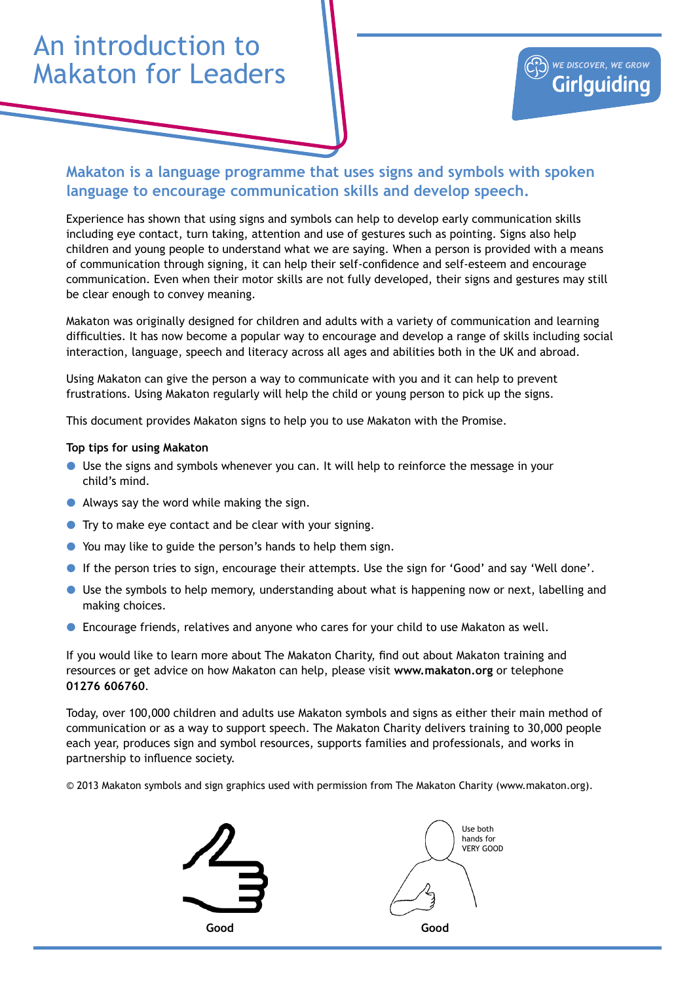## An introduction to Makaton for Leaders



## **Makaton is a language programme that uses signs and symbols with spoken language to encourage communication skills and develop speech.**

Experience has shown that using signs and symbols can help to develop early communication skills including eye contact, turn taking, attention and use of gestures such as pointing. Signs also help children and young people to understand what we are saying. When a person is provided with a means of communication through signing, it can help their self-confidence and self-esteem and encourage communication. Even when their motor skills are not fully developed, their signs and gestures may still be clear enough to convey meaning.

Makaton was originally designed for children and adults with a variety of communication and learning difficulties. It has now become a popular way to encourage and develop a range of skills including social interaction, language, speech and literacy across all ages and abilities both in the UK and abroad.

Using Makaton can give the person a way to communicate with you and it can help to prevent frustrations. Using Makaton regularly will help the child or young person to pick up the signs.

This document provides Makaton signs to help you to use Makaton with the Promise.

## **Top tips for using Makaton**

- $\bullet$  Use the signs and symbols whenever you can. It will help to reinforce the message in your child's mind.
- $\bullet$  Always say the word while making the sign.
- $\bullet$  Try to make eye contact and be clear with your signing.
- You may like to guide the person's hands to help them sign.
- If the person tries to sign, encourage their attempts. Use the sign for 'Good' and say 'Well done'.
- **•** Use the symbols to help memory, understanding about what is happening now or next, labelling and making choices.
- **•** Encourage friends, relatives and anyone who cares for your child to use Makaton as well.

If you would like to learn more about The Makaton Charity, find out about Makaton training and resources or get advice on how Makaton can help, please visit **www.makaton.org** or telephone **01276 606760**.

Today, over 100,000 children and adults use Makaton symbols and signs as either their main method of communication or as a way to support speech. The Makaton Charity delivers training to 30,000 people each year, produces sign and symbol resources, supports families and professionals, and works in partnership to influence society.

© 2013 Makaton symbols and sign graphics used with permission from The Makaton Charity (www.makaton.org).